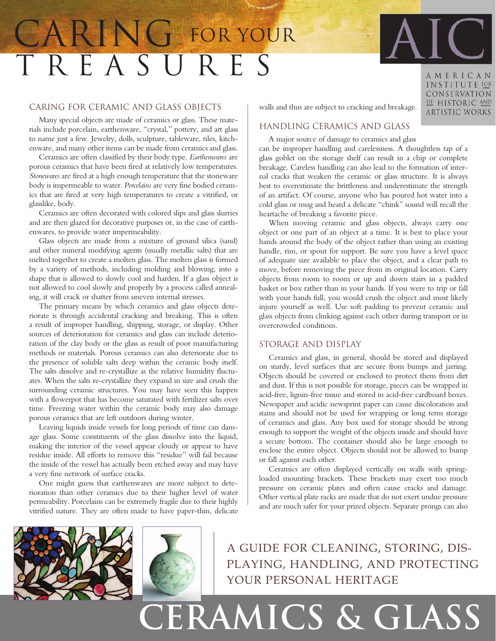# T R E A S U R E S CARING FOR YOUR

### Caring for Ceramic and Glass Objects

Many special objects are made of ceramics or glass. These materials include porcelain, earthenware, "crystal," pottery, and art glass to name just a few. Jewelry, dolls, sculpture, tableware, tiles, kitchenware, and many other items can be made from ceramics and glass.

Ceramics are often classified by their body type. *Earthenwares* are porous ceramics that have been fired at relatively low temperatures. *Stonewares* are fired at a high enough temperature that the stoneware body is impermeable to water. *Porcelains* are very fine bodied ceramics that are fired at very high temperatures to create a vitrified, or glasslike, body.

Ceramics are often decorated with colored slips and glass slurries and are then glazed for decorative purposes or, in the case of earthenwares, to provide water impermeability.

Glass objects are made from a mixture of ground silica (sand) and other mineral modifying agents (usually metallic salts) that are melted together to create a molten glass. The molten glass is formed by a variety of methods, including molding and blowing, into a shape that is allowed to slowly cool and harden. If a glass object is not allowed to cool slowly and properly by a process called annealing, it will crack or shatter from uneven internal stresses.

The primary means by which ceramics and glass objects deteriorate is through accidental cracking and breaking. This is often a result of improper handling, shipping, storage, or display. Other sources of deterioration for ceramics and glass can include deterioration of the clay body or the glass as result of poor manufacturing methods or materials. Porous ceramics can also deteriorate due to the presence of soluble salts deep within the ceramic body itself. The salts dissolve and re-crystallize as the relative humidity fluctuates. When the salts re-crystallize they expand in size and crush the surrounding ceramic structures. You may have seen this happen with a flowerpot that has become saturated with fertilizer salts over time. Freezing water within the ceramic body may also damage porous ceramics that are left outdoors during winter.

Leaving liquids inside vessels for long periods of time can damage glass. Some constituents of the glass dissolve into the liquid, making the interior of the vessel appear cloudy or appear to have residue inside. All efforts to remove this "residue" will fail because the inside of the vessel has actually been etched away and may have a very fine network of surface cracks.

One might guess that earthenwares are more subject to deterioration than other ceramics due to their higher level of water permeability. Porcelains can be extremely fragile due to their highly vitrified nature. They are often made to have paper-thin, delicate

walls and thus are subject to cracking and breakage.

## Handling Ceramics and Glass

A major source of damage to ceramics and glass

can be improper handling and carelessness. A thoughtless tap of a glass goblet on the storage shelf can result in a chip or complete breakage. Careless handling can also lead to the formation of internal cracks that weaken the ceramic or glass structure. It is always best to overestimate the brittleness and underestimate the strength of an artifact. Of course, anyone who has poured hot water into a cold glass or mug and heard a delicate "chink" sound will recall the heartache of breaking a favorite piece.

When moving ceramic and glass objects, always carry one object or one part of an object at a time. It is best to place your hands around the body of the object rather than using an existing handle, rim, or spout for support. Be sure you have a level space of adequate size available to place the object, and a clear path to move, before removing the piece from its original location. Carry objects from room to room or up and down stairs in a padded basket or box rather than in your hands. If you were to trip or fall with your hands full, you would crush the object and most likely injure yourself as well. Use soft padding to prevent ceramic and glass objects from clinking against each other during transport or in overcrowded conditions.

#### Storage and Display

Ceramics and glass, in general, should be stored and displayed on sturdy, level surfaces that are secure from bumps and jarring. Objects should be covered or enclosed to protect them from dirt and dust. If this is not possible for storage, pieces can be wrapped in acid-free, lignin-free tissue and stored in acid-free cardboard boxes. Newspaper and acidic newsprint paper can cause discoloration and stains and should not be used for wrapping or long term storage of ceramics and glass. Any box used for storage should be strong enough to support the weight of the objects inside and should have a secure bottom. The container should also be large enough to enclose the entire object. Objects should not be allowed to bump or fall against each other.

Ceramics are often displayed vertically on walls with springloaded mounting brackets. These brackets may exert too much pressure on ceramic plates and often cause cracks and damage. Other vertical plate racks are made that do not exert undue pressure and are much safer for your prized objects. Separate prongs can also





A guide for cleaning, storing, displaying, handling, and protecting your personal heritage

AMERICAN INSTITUTE FOR CONSERVATION OF HISTORIC AND **ARTISTIC WORKS**